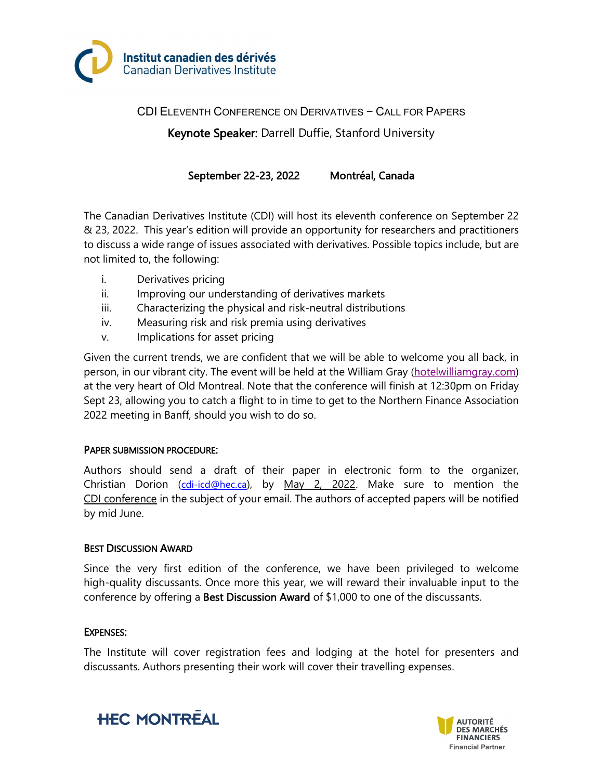

CDI ELEVENTH CONFERENCE ON DERIVATIVES − CALL FOR PAPERS Keynote Speaker: Darrell Duffie, Stanford University

September 22-23, 2022 Montréal, Canada

The Canadian Derivatives Institute (CDI) will host its eleventh conference on September 22 & 23, 2022. This year's edition will provide an opportunity for researchers and practitioners to discuss a wide range of issues associated with derivatives. Possible topics include, but are not limited to, the following:

- i. Derivatives pricing
- ii. Improving our understanding of derivatives markets
- iii. Characterizing the physical and risk-neutral distributions
- iv. Measuring risk and risk premia using derivatives
- v. Implications for asset pricing

Given the current trends, we are confident that we will be able to welcome you all back, in person, in our vibrant city. The event will be held at the William Gray [\(hotelwilliamgray.com\)](http://hotelwilliamgray.com/) at the very heart of Old Montreal. Note that the conference will finish at 12:30pm on Friday Sept 23, allowing you to catch a flight to in time to get to the Northern Finance Association 2022 meeting in Banff, should you wish to do so.

## PAPER SUBMISSION PROCEDURE:

Authors should send a draft of their paper in electronic form to the organizer, Christian Dorion [\(cdi-icd@hec.ca\)](mailto:cdi-icd@hec.ca), by May 2, 2022. Make sure to mention the CDI conference in the subject of your email. The authors of accepted papers will be notified by mid June.

## BEST DISCUSSION AWARD

Since the very first edition of the conference, we have been privileged to welcome high-quality discussants. Once more this year, we will reward their invaluable input to the conference by offering a Best Discussion Award of  $$1,000$  to one of the discussants.

## EXPENSES:

The Institute will cover registration fees and lodging at the hotel for presenters and discussants. Authors presenting their work will cover their travelling expenses.